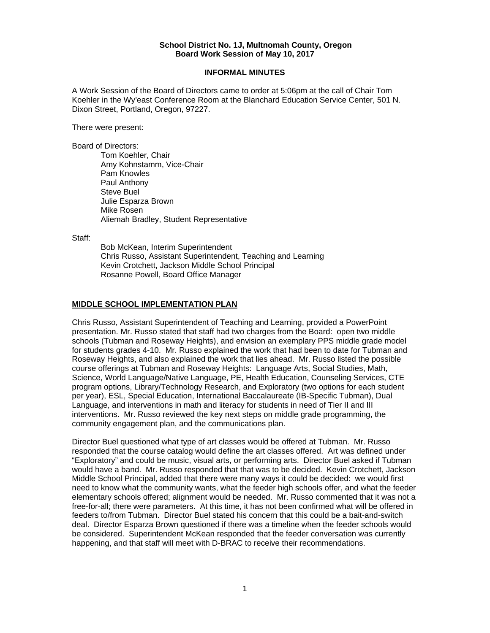## **School District No. 1J, Multnomah County, Oregon Board Work Session of May 10, 2017**

## **INFORMAL MINUTES**

A Work Session of the Board of Directors came to order at 5:06pm at the call of Chair Tom Koehler in the Wy'east Conference Room at the Blanchard Education Service Center, 501 N. Dixon Street, Portland, Oregon, 97227.

There were present:

Board of Directors:

Tom Koehler, Chair Amy Kohnstamm, Vice-Chair Pam Knowles Paul Anthony Steve Buel Julie Esparza Brown Mike Rosen Aliemah Bradley, Student Representative

Staff:

 Bob McKean, Interim Superintendent Chris Russo, Assistant Superintendent, Teaching and Learning Kevin Crotchett, Jackson Middle School Principal Rosanne Powell, Board Office Manager

## **MIDDLE SCHOOL IMPLEMENTATION PLAN**

Chris Russo, Assistant Superintendent of Teaching and Learning, provided a PowerPoint presentation. Mr. Russo stated that staff had two charges from the Board: open two middle schools (Tubman and Roseway Heights), and envision an exemplary PPS middle grade model for students grades 4-10. Mr. Russo explained the work that had been to date for Tubman and Roseway Heights, and also explained the work that lies ahead. Mr. Russo listed the possible course offerings at Tubman and Roseway Heights: Language Arts, Social Studies, Math, Science, World Language/Native Language, PE, Health Education, Counseling Services, CTE program options, Library/Technology Research, and Exploratory (two options for each student per year), ESL, Special Education, International Baccalaureate (IB-Specific Tubman), Dual Language, and interventions in math and literacy for students in need of Tier II and III interventions. Mr. Russo reviewed the key next steps on middle grade programming, the community engagement plan, and the communications plan.

Director Buel questioned what type of art classes would be offered at Tubman. Mr. Russo responded that the course catalog would define the art classes offered. Art was defined under "Exploratory" and could be music, visual arts, or performing arts. Director Buel asked if Tubman would have a band. Mr. Russo responded that that was to be decided. Kevin Crotchett, Jackson Middle School Principal, added that there were many ways it could be decided: we would first need to know what the community wants, what the feeder high schools offer, and what the feeder elementary schools offered; alignment would be needed. Mr. Russo commented that it was not a free-for-all; there were parameters. At this time, it has not been confirmed what will be offered in feeders to/from Tubman. Director Buel stated his concern that this could be a bait-and-switch deal. Director Esparza Brown questioned if there was a timeline when the feeder schools would be considered. Superintendent McKean responded that the feeder conversation was currently happening, and that staff will meet with D-BRAC to receive their recommendations.